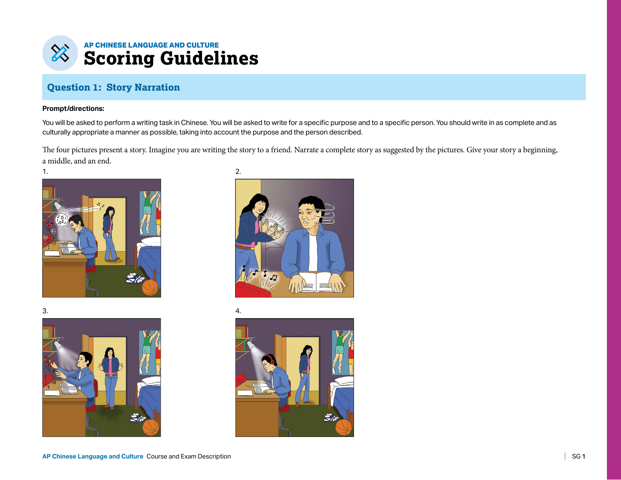

### **Question 1: Story Narration**

#### **Prompt/directions:**

You will be asked to perform a writing task in Chinese. You will be asked to write for a specific purpose and to a specific person. You should write in as complete and as culturally appropriate a manner as possible, taking into account the purpose and the person described.

The four pictures present a story. Imagine you are writing the story to a friend. Narrate a complete story as suggested by the pictures. Give your story a beginning, a middle, and an end.







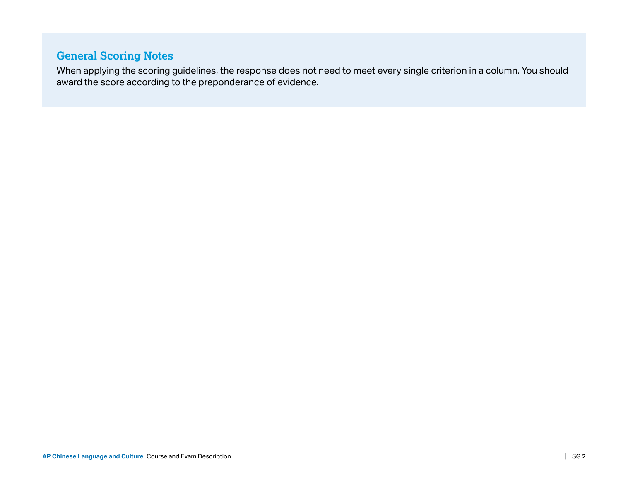## **General Scoring Notes**

When applying the scoring guidelines, the response does not need to meet every single criterion in a column. You should award the score according to the preponderance of evidence.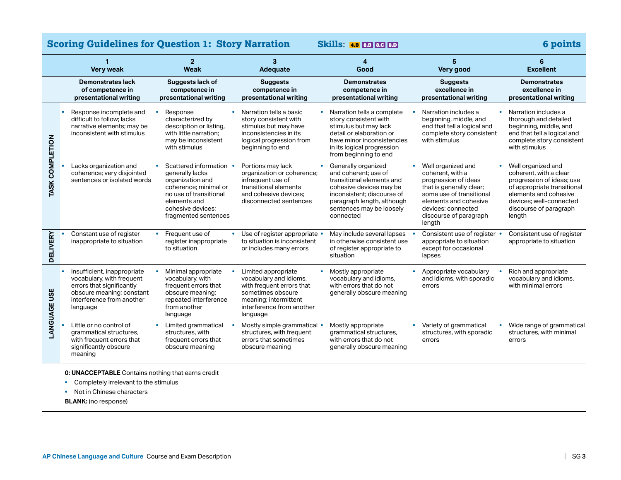|                     | 1<br><b>Very weak</b>                                                                                                                                                    | $\overline{2}$<br>Weak                                                                                                                                                       | 3<br>Adequate                                                                                                                                                     | 4<br>Good                                                                                                                                                                                                | 5<br>Very good                                                                                                                                                                                            | <b>Excellent</b>                                                                                                                                                                                 |
|---------------------|--------------------------------------------------------------------------------------------------------------------------------------------------------------------------|------------------------------------------------------------------------------------------------------------------------------------------------------------------------------|-------------------------------------------------------------------------------------------------------------------------------------------------------------------|----------------------------------------------------------------------------------------------------------------------------------------------------------------------------------------------------------|-----------------------------------------------------------------------------------------------------------------------------------------------------------------------------------------------------------|--------------------------------------------------------------------------------------------------------------------------------------------------------------------------------------------------|
|                     | <b>Demonstrates lack</b><br>of competence in<br>presentational writing                                                                                                   | Suggests lack of<br>competence in<br>presentational writing                                                                                                                  | <b>Suggests</b><br>competence in<br>presentational writing                                                                                                        | <b>Demonstrates</b><br>competence in<br>presentational writing                                                                                                                                           | <b>Suggests</b><br>excellence in<br>presentational writing                                                                                                                                                | <b>Demonstrates</b><br>excellence in<br>presentational writing                                                                                                                                   |
| TASK COMPLETION     | Response incomplete and<br>$\bullet$<br>difficult to follow: lacks<br>narrative elements; may be<br>inconsistent with stimulus                                           | Response<br>characterized by<br>description or listing,<br>with little narration:<br>may be inconsistent<br>with stimulus                                                    | Narration tells a basic<br>$\bullet$<br>story consistent with<br>stimulus but may have<br>inconsistencies in its<br>logical progression from<br>beginning to end  | Narration tells a complete<br>story consistent with<br>stimulus but may lack<br>detail or elaboration or<br>have minor inconsistencies<br>in its logical progression<br>from beginning to end            | Narration includes a<br>beginning, middle, and<br>end that tell a logical and<br>complete story consistent<br>with stimulus                                                                               | Narration includes a<br>thorough and detailed<br>beginning, middle, and<br>end that tell a logical and<br>complete story consistent<br>with stimulus                                             |
|                     | Lacks organization and<br>coherence; very disjointed<br>sentences or isolated words                                                                                      | Scattered information<br>generally lacks<br>organization and<br>coherence: minimal or<br>no use of transitional<br>elements and<br>cohesive devices:<br>fragmented sentences | Portions may lack<br>organization or coherence;<br>infrequent use of<br>transitional elements<br>and cohesive devices:<br>disconnected sentences                  | Generally organized<br>and coherent: use of<br>transitional elements and<br>cohesive devices may be<br>inconsistent; discourse of<br>paragraph length, although<br>sentences may be loosely<br>connected | Well organized and<br>coherent, with a<br>progression of ideas<br>that is generally clear;<br>some use of transitional<br>elements and cohesive<br>devices: connected<br>discourse of paragraph<br>length | Well organized and<br>coherent, with a clear<br>progression of ideas; use<br>of appropriate transitional<br>elements and cohesive<br>devices: well-connected<br>discourse of paragraph<br>length |
| <b>DELIVERY</b>     | Constant use of register<br>inappropriate to situation                                                                                                                   | Frequent use of<br>$\bullet$<br>register inappropriate<br>to situation                                                                                                       | Use of register appropriate •<br>to situation is inconsistent<br>or includes many errors                                                                          | May include several lapses<br>in otherwise consistent use<br>of register appropriate to<br>situation                                                                                                     | Consistent use of register •<br>appropriate to situation<br>except for occasional<br>lapses                                                                                                               | Consistent use of register<br>appropriate to situation                                                                                                                                           |
| <b>LANGUAGE USE</b> | Insufficient, inappropriate<br>$\bullet$<br>vocabulary, with frequent<br>errors that significantly<br>obscure meaning; constant<br>interference from another<br>language | Minimal appropriate<br>vocabulary, with<br>frequent errors that<br>obscure meaning;<br>repeated interference<br>from another<br>language                                     | Limited appropriate<br>vocabulary and idioms,<br>with frequent errors that<br>sometimes obscure<br>meaning; intermittent<br>interference from another<br>language | Mostly appropriate<br>vocabulary and idioms,<br>with errors that do not<br>generally obscure meaning                                                                                                     | Appropriate vocabulary<br>and idioms, with sporadic<br>errors                                                                                                                                             | Rich and appropriate<br>vocabulary and idioms,<br>with minimal errors                                                                                                                            |
|                     | Little or no control of<br>grammatical structures,<br>with frequent errors that<br>significantly obscure<br>meaning                                                      | Limited grammatical<br>structures, with<br>frequent errors that<br>obscure meaning                                                                                           | Mostly simple grammatical •<br>structures, with frequent<br>errors that sometimes<br>obscure meaning                                                              | Mostly appropriate<br>grammatical structures,<br>with errors that do not<br>generally obscure meaning                                                                                                    | Variety of grammatical<br>structures, with sporadic<br>errors                                                                                                                                             | Wide range of grammatical<br>structures, with minimal<br>errors                                                                                                                                  |

**Scoring Guidelines for Question 1: Story Narration Skills**: 4.B 8.B 8.C 8.D **6 points** 

**0: UNACCEPTABLE** Contains nothing that earns credit

**•** Completely irrelevant to the stimulus

**•** Not in Chinese characters

**BLANK:** (no response)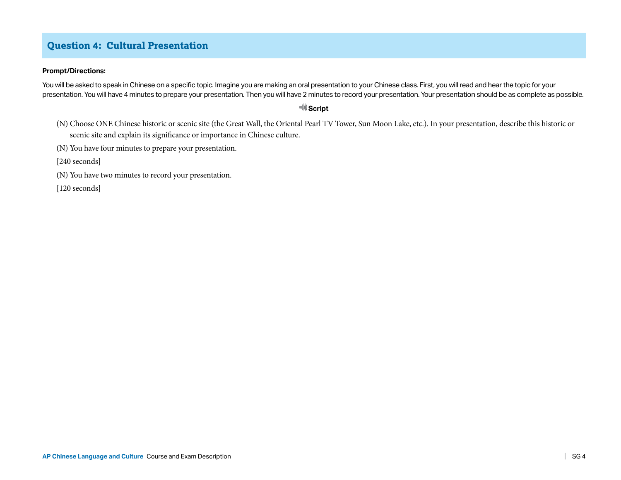## **Question 4: Cultural Presentation**

#### **Prompt/Directions:**

You will be asked to speak in Chinese on a specific topic. Imagine you are making an oral presentation to your Chinese class. First, you will read and hear the topic for your presentation. You will have 4 minutes to prepare your presentation. Then you will have 2 minutes to record your presentation. Your presentation should be as complete as possible.

### *<u>Script</u>*

- (N) Choose ONE Chinese historic or scenic site (the Great Wall, the Oriental Pearl TV Tower, Sun Moon Lake, etc.). In your presentation, describe this historic or scenic site and explain its significance or importance in Chinese culture.
- (N) You have four minutes to prepare your presentation.
- [240 seconds]
- (N) You have two minutes to record your presentation.
- [120 seconds]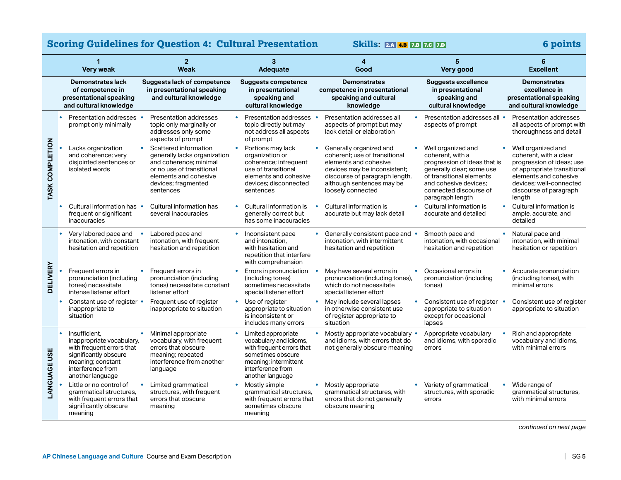# **Scoring Guidelines for Question 4: Cultural Presentation Skills: 2.A 4.B 7.B 7.C 7.D 7.A 4.B 7.A 4.B 7.A 4.B 7.A 4.B 7.A 4.B 7.A 4.B 7.A 4.B 7.A 4.B 7.A 4.B 7.A 4.B 7.A 4.B 7.A 4.B 7.A 4.B 7.A 4.B 7.A 4.B 7.A 4.B 7.A 4.B**

|                     | $\mathbf{1}$<br><b>Very weak</b>                                                                                                                                            | $\overline{2}$<br><b>Weak</b>                                                                                                                                             |           | 3<br>Adequate                                                                                                                                                     | 4<br>Good                                                                                                                                                                                             | 5<br>Very good                                                                                                                                                                                         |           | 6<br><b>Excellent</b>                                                                                                                                                                            |
|---------------------|-----------------------------------------------------------------------------------------------------------------------------------------------------------------------------|---------------------------------------------------------------------------------------------------------------------------------------------------------------------------|-----------|-------------------------------------------------------------------------------------------------------------------------------------------------------------------|-------------------------------------------------------------------------------------------------------------------------------------------------------------------------------------------------------|--------------------------------------------------------------------------------------------------------------------------------------------------------------------------------------------------------|-----------|--------------------------------------------------------------------------------------------------------------------------------------------------------------------------------------------------|
|                     | <b>Demonstrates lack</b><br>of competence in<br>presentational speaking<br>and cultural knowledge                                                                           | <b>Suggests lack of competence</b><br>in presentational speaking<br>and cultural knowledge                                                                                |           | Suggests competence<br>in presentational<br>speaking and<br>cultural knowledge                                                                                    | <b>Demonstrates</b><br>competence in presentational<br>speaking and cultural<br>knowledge                                                                                                             | <b>Suggests excellence</b><br>in presentational<br>speaking and<br>cultural knowledge                                                                                                                  |           | <b>Demonstrates</b><br>excellence in<br>presentational speaking<br>and cultural knowledge                                                                                                        |
| TASK COMPLETION     | Presentation addresses •<br>prompt only minimally                                                                                                                           | Presentation addresses<br>topic only marginally or<br>addresses only some<br>aspects of prompt                                                                            |           | Presentation addresses<br>topic directly but may<br>not address all aspects<br>of prompt                                                                          | Presentation addresses all<br>aspects of prompt but may<br>lack detail or elaboration                                                                                                                 | Presentation addresses all •<br>aspects of prompt                                                                                                                                                      |           | Presentation addresses<br>all aspects of prompt with<br>thoroughness and detail                                                                                                                  |
|                     | Lacks organization<br>and coherence; very<br>disjointed sentences or<br>isolated words                                                                                      | Scattered information<br>generally lacks organization<br>and coherence; minimal<br>or no use of transitional<br>elements and cohesive<br>devices; fragmented<br>sentences | $\bullet$ | Portions may lack<br>organization or<br>coherence; infrequent<br>use of transitional<br>elements and cohesive<br>devices: disconnected<br>sentences               | Generally organized and<br>coherent; use of transitional<br>elements and cohesive<br>devices may be inconsistent;<br>discourse of paragraph length,<br>although sentences may be<br>loosely connected | Well organized and<br>coherent, with a<br>progression of ideas that is<br>generally clear; some use<br>of transitional elements<br>and cohesive devices:<br>connected discourse of<br>paragraph length |           | Well organized and<br>coherent, with a clear<br>progression of ideas; use<br>of appropriate transitional<br>elements and cohesive<br>devices: well-connected<br>discourse of paragraph<br>length |
|                     | Cultural information has •<br>frequent or significant<br>inaccuracies                                                                                                       | Cultural information has<br>several inaccuracies                                                                                                                          | $\bullet$ | Cultural information is<br>generally correct but<br>has some inaccuracies                                                                                         | Cultural information is<br>$\bullet$<br>accurate but may lack detail                                                                                                                                  | Cultural information is<br>accurate and detailed                                                                                                                                                       | $\bullet$ | Cultural information is<br>ample, accurate, and<br>detailed                                                                                                                                      |
| <b>DELIVERY</b>     | Very labored pace and<br>intonation, with constant<br>hesitation and repetition                                                                                             | Labored pace and<br>$\bullet$<br>intonation, with frequent<br>hesitation and repetition                                                                                   | $\bullet$ | Inconsistent pace<br>and intonation,<br>with hesitation and<br>repetition that interfere<br>with comprehension                                                    | Generally consistent pace and •<br>intonation, with intermittent<br>hesitation and repetition                                                                                                         | Smooth pace and<br>intonation, with occasional<br>hesitation and repetition                                                                                                                            |           | Natural pace and<br>intonation, with minimal<br>hesitation or repetition                                                                                                                         |
|                     | Frequent errors in<br>pronunciation (including<br>tones) necessitate<br>intense listener effort                                                                             | Frequent errors in<br>pronunciation (including<br>tones) necessitate constant<br>listener effort                                                                          | $\bullet$ | Errors in pronunciation<br>(including tones)<br>sometimes necessitate<br>special listener effort                                                                  | May have several errors in<br>pronunciation (including tones),<br>which do not necessitate<br>special listener effort                                                                                 | Occasional errors in<br>pronunciation (including<br>tones)                                                                                                                                             |           | Accurate pronunciation<br>(including tones), with<br>minimal errors                                                                                                                              |
|                     | Constant use of register •<br>inappropriate to<br>situation                                                                                                                 | Frequent use of register<br>inappropriate to situation                                                                                                                    | $\bullet$ | Use of register<br>appropriate to situation<br>is inconsistent or<br>includes many errors                                                                         | May include several lapses<br>in otherwise consistent use<br>of register appropriate to<br>situation                                                                                                  | Consistent use of register<br>appropriate to situation<br>except for occasional<br>lapses                                                                                                              |           | Consistent use of register<br>appropriate to situation                                                                                                                                           |
| <b>LANGUAGE USE</b> | Insufficient.<br>$\bullet$<br>inappropriate vocabulary,<br>with frequent errors that<br>significantly obscure<br>meaning; constant<br>interference from<br>another language | Minimal appropriate<br>vocabulary, with frequent<br>errors that obscure<br>meaning; repeated<br>interference from another<br>language                                     | $\bullet$ | Limited appropriate<br>vocabulary and idioms,<br>with frequent errors that<br>sometimes obscure<br>meaning; intermittent<br>interference from<br>another language | Mostly appropriate vocabulary •<br>and idioms, with errors that do<br>not generally obscure meaning                                                                                                   | Appropriate vocabulary<br>and idioms, with sporadic<br>errors                                                                                                                                          |           | Rich and appropriate<br>vocabulary and idioms,<br>with minimal errors                                                                                                                            |
|                     | Little or no control of<br>grammatical structures,<br>with frequent errors that<br>significantly obscure<br>meaning                                                         | Limited grammatical<br>structures, with frequent<br>errors that obscure<br>meaning                                                                                        | $\bullet$ | Mostly simple<br>grammatical structures,<br>with frequent errors that<br>sometimes obscure<br>meaning                                                             | Mostly appropriate<br>grammatical structures, with<br>errors that do not generally<br>obscure meaning                                                                                                 | Variety of grammatical<br>structures, with sporadic<br>errors                                                                                                                                          |           | Wide range of<br>grammatical structures,<br>with minimal errors                                                                                                                                  |

*continued on next page*